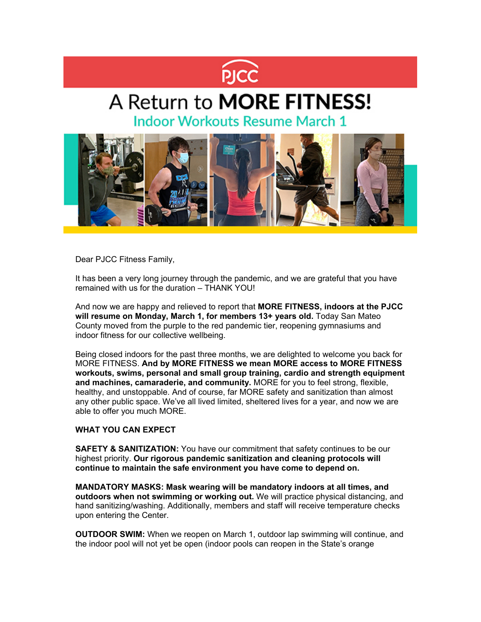

# A Return to MORE FITNESS!

**Indoor Workouts Resume March 1** 



Dear PJCC Fitness Family,

It has been a very long journey through the pandemic, and we are grateful that you have remained with us for the duration – THANK YOU!

And now we are happy and relieved to report that **MORE FITNESS, indoors at the PJCC will resume on Monday, March 1, for members 13+ years old.** Today San Mateo County moved from the purple to the red pandemic tier, reopening gymnasiums and indoor fitness for our collective wellbeing.

Being closed indoors for the past three months, we are delighted to welcome you back for MORE FITNESS. **And by MORE FITNESS we mean MORE access to MORE FITNESS workouts, swims, personal and small group training, cardio and strength equipment and machines, camaraderie, and community.** MORE for you to feel strong, flexible, healthy, and unstoppable. And of course, far MORE safety and sanitization than almost any other public space. We've all lived limited, sheltered lives for a year, and now we are able to offer you much MORE.

# **WHAT YOU CAN EXPECT**

**SAFETY & SANITIZATION:** You have our commitment that safety continues to be our highest priority. **Our rigorous pandemic sanitization and cleaning protocols will continue to maintain the safe environment you have come to depend on.**

**MANDATORY MASKS: Mask wearing will be mandatory indoors at all times, and outdoors when not swimming or working out.** We will practice physical distancing, and hand sanitizing/washing. Additionally, members and staff will receive temperature checks upon entering the Center.

**OUTDOOR SWIM:** When we reopen on March 1, outdoor lap swimming will continue, and the indoor pool will not yet be open (indoor pools can reopen in the State's orange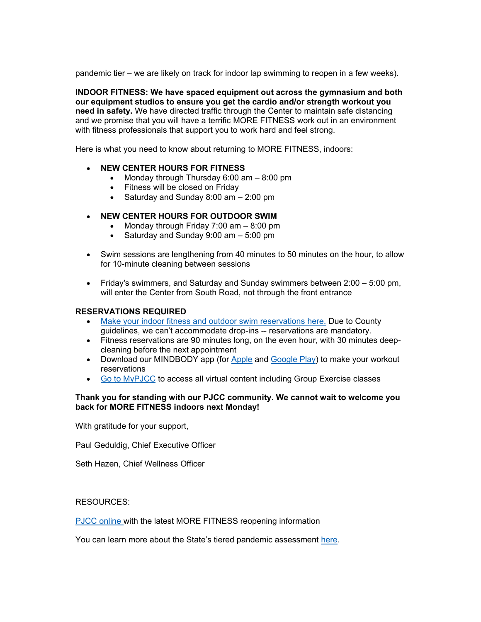pandemic tier – we are likely on track for indoor lap swimming to reopen in a few weeks).

**INDOOR FITNESS: We have spaced equipment out across the gymnasium and both our equipment studios to ensure you get the cardio and/or strength workout you need in safety.** We have directed traffic through the Center to maintain safe distancing and we promise that you will have a terrific MORE FITNESS work out in an environment with fitness professionals that support you to work hard and feel strong.

Here is what you need to know about returning to MORE FITNESS, indoors:

- **NEW CENTER HOURS FOR FITNESS**
	- Monday through Thursday  $6:00$  am  $-8:00$  pm
	- Fitness will be closed on Friday
	- Saturday and Sunday 8:00 am 2:00 pm

# • **NEW CENTER HOURS FOR OUTDOOR SWIM**

- Monday through Friday 7:00 am  $-$  8:00 pm
- Saturday and Sunday 9:00 am 5:00 pm
- Swim sessions are lengthening from 40 minutes to 50 minutes on the hour, to allow for 10-minute cleaning between sessions
- Friday's swimmers, and Saturday and Sunday swimmers between 2:00 5:00 pm, will enter the Center from South Road, not through the front entrance

### **RESERVATIONS REQUIRED**

- [Make your indoor fitness and outdoor swim reservations here.](https://pjcc.lt.acemlna.com/Prod/link-tracker?redirectUrl=aHR0cHMlM0ElMkYlMkZjbGllbnRzLm1pbmRib2R5b25saW5lLmNvbSUyRkFTUCUyRnN1MS5hc3AlM0ZzdHVkaW9pZCUzRDQxMjczJTI2X2dhJTNEMi4xMzI2ODE0MjIuMTEwOTg0MTMuMTYxNDAxNjMyMS0xODk5NzI4OTc2LjE1ODk4MTI3NjQ=&a=66625182&account=pjcc%2Eactivehosted%2Ecom&email=V2yqftU%2BhgJYcBNShchxdw%3D%3D&s=c42fd1951155c949e7ef75aacbebeb55&i=486A950A3A4753) Due to County guidelines, we can't accommodate drop-ins -- reservations are mandatory.
- Fitness reservations are 90 minutes long, on the even hour, with 30 minutes deepcleaning before the next appointment
- Download our MINDBODY app (for [Apple](https://pjcc.acemlna.com/lt.php?s=c42fd1951155c949e7ef75aacbebeb55&i=272A582A134A2270) and [Google Play\)](https://pjcc.acemlna.com/lt.php?s=c42fd1951155c949e7ef75aacbebeb55&i=272A582A134A2271) to make your workout reservations
- Go to [MyPJCC](https://pjcc.lt.acemlna.com/Prod/link-tracker?redirectUrl=aHR0cHMlM0ElMkYlMkZwamNjLmZvcmNlLmNvbSUyRg==&a=66625182&account=pjcc%2Eactivehosted%2Ecom&email=V2yqftU%2BhgJYcBNShchxdw%3D%3D&s=c42fd1951155c949e7ef75aacbebeb55&i=486A950A3A4741) to access all virtual content including Group Exercise classes

### **Thank you for standing with our PJCC community. We cannot wait to welcome you back for MORE FITNESS indoors next Monday!**

With gratitude for your support,

Paul Geduldig, Chief Executive Officer

Seth Hazen, Chief Wellness Officer

RESOURCES:

[PJCC online](https://pjcc.lt.acemlna.com/Prod/link-tracker?redirectUrl=aHR0cHMlM0ElMkYlMkZ3d3cucGpjYy5vcmclMkZyZW9wZW4lMkY=&a=66625182&account=pjcc%2Eactivehosted%2Ecom&email=V2yqftU%2BhgJYcBNShchxdw%3D%3D&s=c42fd1951155c949e7ef75aacbebeb55&i=486A950A3A4739) with the latest MORE FITNESS reopening information

You can learn more about the State's tiered pandemic assessment [here.](https://pjcc.lt.acemlna.com/Prod/link-tracker?redirectUrl=aHR0cHMlM0ElMkYlMkZjb3ZpZDE5LmNhLmdvdiUyRnNhZmVyLWVjb25vbXklMkY=&a=66625182&account=pjcc%2Eactivehosted%2Ecom&email=V2yqftU%2BhgJYcBNShchxdw%3D%3D&s=c42fd1951155c949e7ef75aacbebeb55&i=486A950A3A4756)